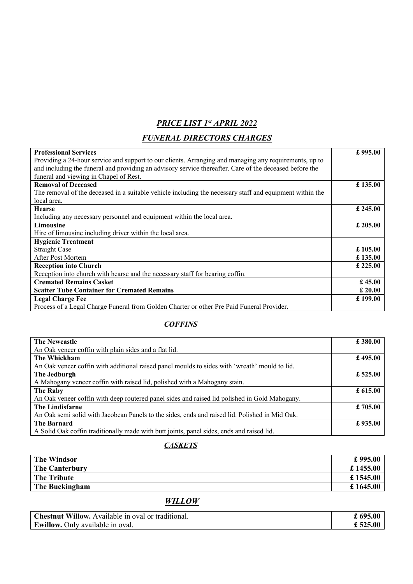## *PRICE LIST 1st APRIL 2022*

## *FUNERAL DIRECTORS CHARGES*

| <b>Professional Services</b>                                                                             | £995.00  |
|----------------------------------------------------------------------------------------------------------|----------|
| Providing a 24-hour service and support to our clients. Arranging and managing any requirements, up to   |          |
| and including the funeral and providing an advisory service thereafter. Care of the deceased before the  |          |
| funeral and viewing in Chapel of Rest.                                                                   |          |
| <b>Removal of Deceased</b>                                                                               | £ 135.00 |
| The removal of the deceased in a suitable vehicle including the necessary staff and equipment within the |          |
| local area.                                                                                              |          |
| <b>Hearse</b>                                                                                            | £ 245.00 |
| Including any necessary personnel and equipment within the local area.                                   |          |
| Limousine                                                                                                | £ 205.00 |
| Hire of limousine including driver within the local area.                                                |          |
| <b>Hygienic Treatment</b>                                                                                |          |
| <b>Straight Case</b>                                                                                     | £ 105.00 |
| After Post Mortem                                                                                        | £ 135.00 |
| <b>Reception into Church</b>                                                                             | £ 225.00 |
| Reception into church with hearse and the necessary staff for bearing coffin.                            |          |
| <b>Cremated Remains Casket</b>                                                                           | £45.00   |
| <b>Scatter Tube Container for Cremated Remains</b>                                                       | £20.00   |
| <b>Legal Charge Fee</b>                                                                                  | £199.00  |
| Process of a Legal Charge Funeral from Golden Charter or other Pre Paid Funeral Provider.                |          |

## *COFFINS*

| <b>The Newcastle</b>                                                                           | £ 380.00   |
|------------------------------------------------------------------------------------------------|------------|
| An Oak veneer coffin with plain sides and a flat lid.                                          |            |
| The Whickham                                                                                   | £ 495.00   |
| An Oak veneer coffin with additional raised panel moulds to sides with 'wreath' mould to lid.  |            |
| The Jedburgh                                                                                   | £ $525.00$ |
| A Mahogany veneer coffin with raised lid, polished with a Mahogany stain.                      |            |
| The Raby                                                                                       | £ 615.00   |
| An Oak veneer coffin with deep routered panel sides and raised lid polished in Gold Mahogany.  |            |
| The Lindisfarne                                                                                | £705.00    |
| An Oak semi solid with Jacobean Panels to the sides, ends and raised lid. Polished in Mid Oak. |            |
| <b>The Barnard</b>                                                                             | £935.00    |
| A Solid Oak coffin traditionally made with butt joints, panel sides, ends and raised lid.      |            |

## *CASKETS*

| <b>The Windsor</b>    | £995.00   |
|-----------------------|-----------|
| <b>The Canterbury</b> | £ 1455.00 |
| The Tribute           | £1545.00  |
| The Buckingham        | £1645.00  |

## *WILLOW*

| <b>Chestnut Willow.</b> Available in oval or traditional. | £ $695.00$ |
|-----------------------------------------------------------|------------|
| <b>Ewillow.</b> Only available in oval.                   | £ 525.00   |